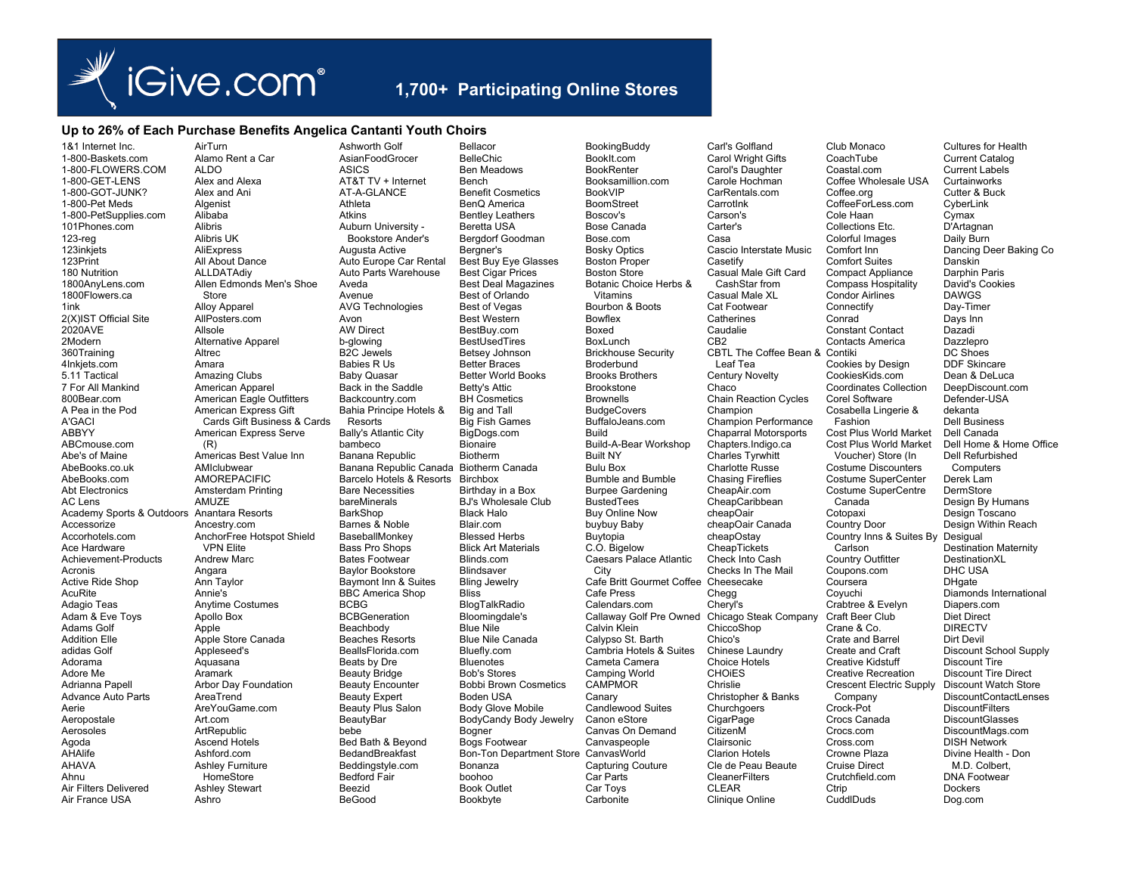

## **1,700+ Participating Online Stores**

## **Up to 26% of Each Purchase Benefits Angelica Cantanti Youth Choirs**

1&1 Internet Inc. 1-800-Baskets.com 1-800-FLOWERS.COM 1-800-GET-LENS 1-800-GOT-JUNK? 1-800-Pet Meds 1-800-PetSupplies.com 101Phones.com 123-reg 123inkjets 123Print 180 Nutrition 1800AnyLens.com 1800Flowers.ca 1ink 2(X)IST Official Site 2020AVE 2Modern 360Training 4Inkjets.com 5.11 Tactical 7 For All Mankind 800Bear.com A Pea in the Pod A'GACI ABBYY ABCmouse.com Abe's of Maine AbeBooks.co.uk AbeBooks.com Abt Electronics AC Lens Academy Sports & Outdoors Anantara Resorts **Accessorize** Accorhotels.com Ace Hardware Achievement-Products Acronis Active Ride Shop AcuRite Adagio Teas Adam & Eve Toys Adams Golf Addition Elle adidas Golf Adorama Adore Me Adrianna Papell Advance Auto Parts Aerie Aeropostale Aerosoles Agoda AHAlife AHAVA Ahnu Air Filters Delivered Air France USA

AirTurn Alamo Rent a Car ALDO Alex and Alexa Alex and Ani **Algenist** Alibaba Alibris Alibris UK **AliFxpress** All About Dance ALLDATAdiy Allen Edmonds Men's Shoe Store Alloy Apparel AllPosters.com Allsole Alternative Apparel Altrec Amara Amazing Clubs American Apparel American Eagle Outfitters American Express Gift Cards Gift Business & Cards American Express Serve (R) Americas Best Value Inn AMIclubwear AMOREPACIFIC Amsterdam Printing AMUZE Ancestry.com AnchorFree Hotspot Shield VPN Elite Andrew Marc Angara Ann Taylor Annie's Anytime Costumes Apollo Box Apple Apple Store Canada Appleseed's Aquasana Aramark Arbor Day Foundation AreaTrend AreYouGame.com Art.com **ArtRepublic** Ascend Hotels Ashford.com Ashley Furniture HomeStore Ashley Stewart Ashro Ashworth Golf AsianFoodGrocer ASICS AT&T TV + Internet AT-A-GLANCE Athleta Atkins Auburn University - Bookstore Ander's Augusta Active Auto Parts Warehouse Aveda Avenue AVG Technologies Avon AW Direct b-glowing B2C Jewels Babies R Us Baby Quasar Back in the Saddle Backcountry.com Resorts Bally's Atlantic City bambeco Banana Republic Bare Necessities bareMinerals BarkShop Barnes & Noble BaseballMonkey Bass Pro Shops Bates Footwear Baylor Bookstore Baymont Inn & Suites BBC America Shop BCBG **BCBGeneration** Beachbody Beaches Resorts BeallsFlorida.com Beats by Dre Beauty Bridge Beauty Encounter Beauty Expert Beauty Plus Salon **BeautyBar** bebe Bed Bath & Beyond BedandBreakfast Beddingstyle.com Bedford Fair Beezid BeGood

Auto Europe Car Rental Bahia Principe Hotels & Banana Republic Canada Biotherm Canada Barcelo Hotels & Resorts Birchbox Bellacor BelleChic Ben Meadows Bench Benefit Cosmetics BenQ America Bentley Leathers Beretta USA Bergdorf Goodman Bergner's Best Buy Eye Glasses Best Cigar Prices Best Deal Magazines Best of Orlando Best of Vegas Best Western BestBuy.com BestUsedTires Betsey Johnson Better Braces Better World Books Betty's Attic BH Cosmetics Big and Tall Big Fish Games BigDogs.com Bionaire Biotherm Birthday in a Box BJ's Wholesale Club Black Halo Blair.com Blessed Herbs Blick Art Materials Blinds.com **Blindsaver** Bling Jewelry **Rlice** BlogTalkRadio Bloomingdale's Blue Nile Blue Nile Canada Bluefly.com **Bluenotes** Bob's Stores Bobbi Brown Cosmetics Boden USA Body Glove Mobile BodyCandy Body Jewelry **Bogner** Bogs Footwear Bonanza boohoo Book Outlet Bookbyte

Bon-Ton Department Store CanvasWorld **BookingBuddy** BookIt.com BookRenter Booksamillion.com BookVIP BoomStreet Boscov's Bose Canada Bose.com Bosky Optics Boston Proper Boston Store Botanic Choice Herbs & Vitamins Bourbon & Boots Bowflex Boxed BoxLunch Brickhouse Security Broderbund Brooks Brothers **Brookstone** Brownells BudgeCovers BuffaloJeans.com Build Build-A-Bear Workshop Built NY Bulu Box Bumble and Bumble Burpee Gardening BustedTees Buy Online Now buybuy Baby Buytopia C.O. Bigelow Caesars Palace Atlantic **City** Cafe Britt Gourmet Coffee Cafe Press Calendars.com Callaway Golf Pre Owned Calvin Klein Calypso St. Barth Cambria Hotels & Suites Cameta Camera Camping World CAMPMOR Canary Candlewood Suites Canon eStore Canvas On Demand Canvaspeople Capturing Couture Car Parts Car Toys **Carbonite** 

Carol Wright Gifts **CarrotInk** Carson's Carter's Casa **Casetify** Cat Footwear **Catherines** Caudalie C<sub>B2</sub> Leaf Tea Chaco Champion CheapAir.com cheapOair cheapOstay **CheapTickets** Cheesecake Chegg Cheryl's ChiccoShop Chico's Choice Hotels **CHOIES** Chrislie **Churchgoers** CigarPage **CitizenM** Clairsonic Clarion Hotels **CleanerFilters** CLEAR

Carl's Golfland

Carol's Daughter Carole Hochman CarRentals.com Cascio Interstate Music Casual Male Gift Card CashStar from Casual Male XL CBTL The Coffee Bean & Contiki Century Novelty Chain Reaction Cycles Champion Performance Chaparral Motorsports Chapters.Indigo.ca Charles Tyrwhitt Charlotte Russe Chasing Fireflies CheapCaribbean cheapOair Canada Check Into Cash Checks In The Mail Chicago Steak Company Chinese Laundry Christopher & Banks Cle de Peau Beaute Clinique Online **CuddlDuds** 

Club Monaco CoachTube Coastal.com Coffee Wholesale USA Coffee.org CoffeeForLess.com Cole Haan Collections Etc. Colorful Images Comfort Inn Comfort Suites Compact Appliance Compass Hospitality Condor Airlines **Connectify** Conrad Constant Contact Contacts America Cookies by Design CookiesKids.com Coordinates Collection Corel Software Cosabella Lingerie & Fashion Cost Plus World Market Cost Plus World Market Voucher) Store (In Costume Discounters Costume SuperCenter Costume SuperCentre Canada Cotopaxi Country Door Country Inns & Suites By Desigual Carlson Country Outfitter Coupons.com Coursera Coyuchi Crabtree & Evelyn Craft Beer Club Crane & Co. Crate and Barrel Create and Craft Creative Kidstuff Creative Recreation Crescent Electric Supply Company Crock-Pot Crocs Canada Crocs.com Cross.com Crowne Plaza Cruise Direct Crutchfield.com **Ctrip** 

Cultures for Health Current Catalog Current Labels Curtainworks Cutter & Buck CyberLink **Cymax** D'Artagnan Daily Burn Dancing Deer Baking Co Danskin Darphin Paris David's Cookies DAWGS Day-Timer Days Inn Dazadi **Dazzlepro** DC Shoes DDF Skincare Dean & DeLuca DeepDiscount.com Defender-USA dekanta Dell Business Dell Canada Dell Home & Home Office Dell Refurbished **Computers** Derek Lam DermStore Design By Humans Design Toscano Design Within Reach Destination Maternity **DestinationXL** DHC USA DHgate Diamonds International Diapers.com Diet Direct DIRECTV Dirt Devil Discount School Supply Discount Tire Discount Tire Direct Discount Watch Store DiscountContactLenses **DiscountFilters** DiscountGlasses DiscountMags.com DISH Network Divine Health - Don M.D. Colbert, DNA Footwear Dockers Dog.com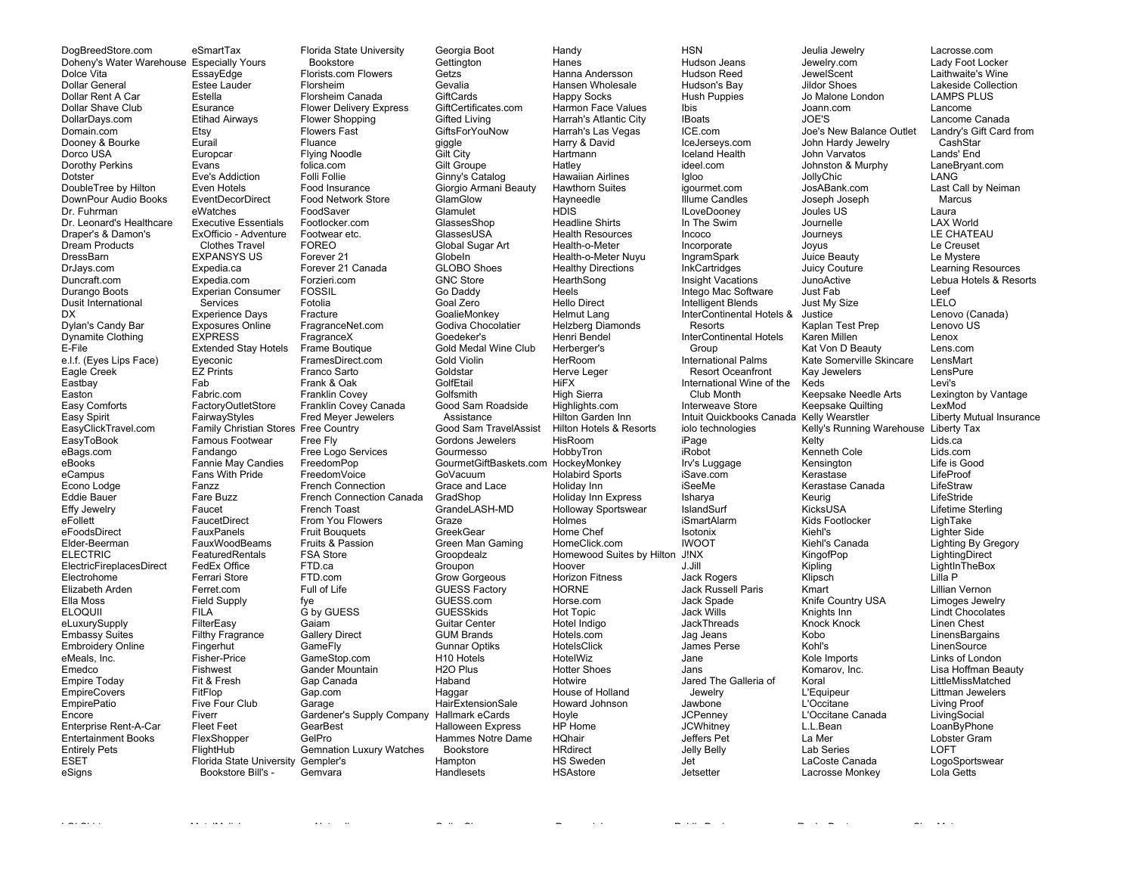DogBreedStore.com Doheny's Water Warehouse Especially Yours Dolce Vita Dollar General Dollar Rent A Car Dollar Shave Club DollarDays.com Domain.com Dooney & Bourke Dorco USA Dorothy Perkins Dotster DoubleTree by Hilton DownPour Audio Books Dr. Fuhrman Dr. Leonard's Healthcare Draper's & Damon's Dream Products DressBarn DrJays.com Duncraft.com Durango Boots Dusit International DX Dylan's Candy Bar Dynamite Clothing E-File e.l.f. (Eyes Lips Face) Eagle Creek Eastbay Easton Easy Comforts Easy Spirit EasyClickTravel.com EasyToBook eBags.com eBooks eCampus Econo Lodge Eddie Bauer Effy Jewelry eFollett eFoodsDirect Elder-Beerman ELECTRIC ElectricFireplacesDirect Electrohome Elizabeth Arden Ella Moss ELOQUII eLuxurySupply Embassy Suites Embroidery Online eMeals, Inc. Emedco Empire Today EmpireCovers **EmpirePatio** Encore Enterprise Rent-A-Car Entertainment Books Entirely Pets ESET eSigns

Estella

Etsy Eurail

Evans

Fab

Fanzz

FILA

Fiverr

eSmartTax EssayEdge Estee Lauder **Esurance** Etihad Airways Europcar Eve's Addiction Even Hotels EventDecorDirect eWatches Executive Essentials ExOfficio - Adventure Clothes Travel EXPANSYS US Expedia.ca Expedia.com Experian Consumer Services Experience Days Exposures Online EXPRESS Extended Stay Hotels Eyeconic EZ Prints Fabric.com FactoryOutletStore FairwayStyles Family Christian Stores Free Country Famous Footwear Fandango Fannie May Candies Fans With Pride Fare Buzz Faucet **FaucetDirect** FauxPanels FauxWoodBeams **FeaturedRentals** FedEx Office Ferrari Store Ferret.com Field Supply **FilterEasy** Filthy Fragrance Fingerhut Fisher-Price Fishwest Fit & Fresh FitFlop Five Four Club Fleet Feet FlexShopper FlightHub Florida State University Gempler's Bookstore Bill's - Florida State University Bookstore Florists.com Flowers Florsheim Florsheim Canada Flower Delivery Express Flower Shopping Flowers Fast Fluance Flying Noodle folica.com Folli Follie Food Insurance Food Network Store FoodSaver Footlocker.com Footwear etc. FOREO Forever 21 Forever 21 Canada Forzieri.com FOSSIL Fotolia **Fracture** FragranceNet.com **Fragrance**X Frame Boutique FramesDirect.com Franco Sarto Frank & Oak Franklin Covey Franklin Covey Canada Fred Meyer Jewelers Free Fly Free Logo Services FreedomPop FreedomVoice French Connection French Connection Canada French Toast From You Flowers Fruit Bouquets Fruits & Passion FSA Store FTD.ca FTD.com Full of Life fye G by GUESS Gaiam Gallery Direct GameFly GameStop.com Gander Mountain Gap Canada Gap.com Garage Gardener's Supply Company **GearBest** GelPro Gemnation Luxury Watches Gemvara

Georgia Boot **Gettington Getzs** Gevalia **GiftCards** GiftCertificates.com Gifted Living GiftsForYouNow giggle Gilt City Gilt Groupe Ginny's Catalog Giorgio Armani Beauty GlamGlow Glamulet GlassesShop GlassesUSA Global Sugar Art **GlobeIn** GLOBO Shoes GNC Store Go Daddy Goal Zero **GoalieMonkey** Godiva Chocolatier Goedeker's Gold Medal Wine Club Gold Violin Goldstar GolfEtail Golfsmith Good Sam Roadside Assistance Good Sam TravelAssist Gordons Jewelers Gourmesso GourmetGiftBaskets.com HockeyMonkey GoVacuum Grace and Lace GradShop GrandeLASH-MD Graze **GreekGear** Green Man Gaming Groopdealz Groupon Grow Gorgeous GUESS Factory GUESS.com GUESSkids Guitar Center GUM Brands Gunnar Optiks H<sub>10</sub> Hotels H2O Plus Haband Haggar HairExtensionSale Hallmark eCards Halloween Express Hammes Notre Dame Bookstore Hampton **Handlesets** 

Handy Hanes Hanna Andersson Hansen Wholesale Happy Socks Harmon Face Values Harrah's Atlantic City Harrah's Las Vegas Harry & David Hartmann Hatley Hawaiian Airlines Hawthorn Suites Hayneedle HDIS Headline Shirts Health Resources Health-o-Meter Health-o-Meter Nuyu Healthy Directions **HearthSong** Heels Hello Direct Helmut Lang Helzberg Diamonds Henri Bendel Herberger's HerRoom Herve Leger **HiFX** High Sierra Highlights.com Hilton Garden Inn Hilton Hotels & Resorts HisRoom HobbyTron Holabird Sports Holiday Inn Holiday Inn Express Holloway Sportswear Holmes Home Chef HomeClick.com Homewood Suites by Hilton J!NX Hoover Horizon Fitness HORNE Horse.com Hot Topic Hotel Indigo Hotels.com HotelsClick HotelWiz Hotter Shoes Hotwire House of Holland Howard Johnson Hoyle HP Home HQhair HRdirect HS Sweden **HSAstore** 

**HSN** Hudson Jeans Hudson Reed Hudson's Bay Hush Puppies Ibis IBoats ICE.com IceJerseys.com Iceland Health ideel.com Igloo igourmet.com Illume Candles ILoveDooney In The Swim Incoco Incorporate IngramSpark **InkCartridges** Insight Vacations Intego Mac Software Intelligent Blends InterContinental Hotels & Resorts InterContinental Hotels Group International Palms Resort Oceanfront International Wine of the Club Month Interweave Store Intuit Quickbooks Canada Kelly Wearstler iolo technologies iPage iRobot Irv's Luggage iSave.com iSeeMe Isharya IslandSurf iSmartAlarm Isotonix IWOOT J.Jill Jack Rogers Jack Russell Paris Jack Spade Jack Wills JackThreads Jag Jeans James Perse Jane Jans Jared The Galleria of Jewelry Jawbone **JCPenney JCWhitney** Jeffers Pet Jelly Belly Jet Jetsetter

Jeulia Jewelry Jewelry.com **JewelScent** Jildor Shoes Jo Malone London Joann.com JOE'S Joe's New Balance Outlet John Hardy Jewelry John Varvatos Johnston & Murphy JollyChic JosABank.com Joseph Joseph Joules US Journelle Journeys Joyus Juice Beauty Juicy Couture **JunoActive** Just Fab Just My Size Justice Kaplan Test Prep Karen Millen Kat Von D Beauty Kate Somerville Skincare Kay Jewelers Keds Keepsake Needle Arts Keepsake Quilting Kelly's Running Warehouse Liberty Tax Kelty Kenneth Cole Kensington Kerastase Kerastase Canada Keurig **KicksUSA** Kids Footlocker Kiehl's Kiehl's Canada KingofPop Kipling Klipsch Kmart Knife Country USA Knights Inn Knock Knock Kobo Kohl's Kole Imports Komarov, Inc. Koral L'Equipeur L'Occitane L'Occitane Canada L.L.Bean La Mer Lab Series LaCoste Canada Lacrosse Monkey

Lacrosse.com Lady Foot Locker Laithwaite's Wine Lakeside Collection LAMPS PLUS Lancome Lancome Canada Landry's Gift Card from CashStar Lands' End LaneBryant.com LANG Last Call by Neiman Marcus Laura LAX World LE CHATEAU Le Creuset Le Mystere Learning Resources Lebua Hotels & Resorts Leef LELO Lenovo (Canada) Lenovo US Lenox Lens.com LensMart LensPure Levi's Lexington by Vantage LexMod Liberty Mutual Insurance Lids.ca Lids.com Life is Good LifeProof LifeStraw LifeStride Lifetime Sterling LighTake Lighter Side Lighting By Gregory **LightingDirect LightInTheBox** Lilla P Lillian Vernon Limoges Jewelry Lindt Chocolates Linen Chest **LinensBargains LinenSource** Links of London Lisa Hoffman Beauty LittleMissMatched Littman Jewelers Living Proof LivingSocial **LoanBvPhone** Lobster Gram LOFT LogoSportswear Lola Getts

LOLShirts MetalMulisha Naturalizer OnlineShoes.com Personalabs Public Desire Rocky Boot ShoeMetro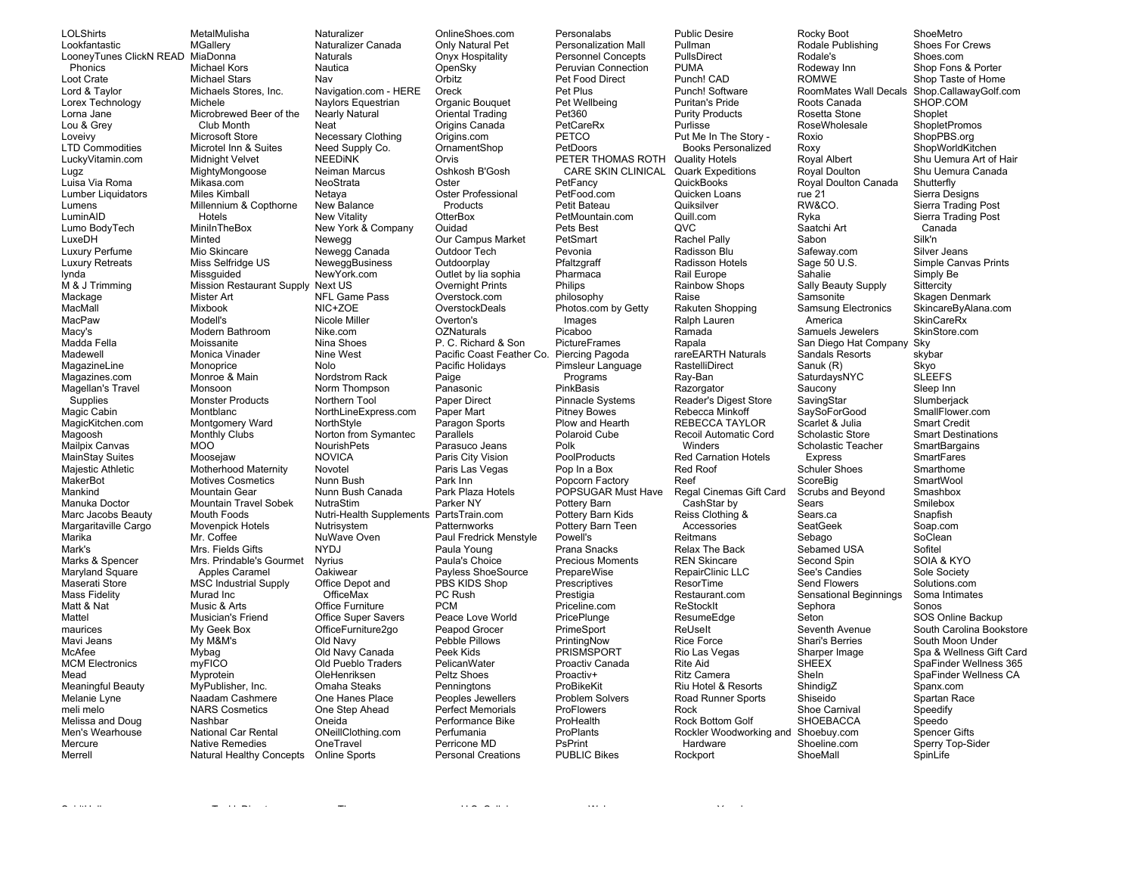LOLShirts Lookfantastic LooneyTunes ClickN READ MiaDonna Phonics Loot Crate Lord & Taylor Lorex Technology Lorna Jane Lou & Grey Loveivy LTD Commodities LuckyVitamin.com Lugz Luisa Via Roma Lumber Liquidators Lumens LuminAID Lumo BodyTech LuxeDH Luxury Perfume Luxury Retreats lynda M & J Trimming Mackage **MacMall** MacPaw Macy's Madda Fella Madewell MagazineLine Magazines.com Magellan's Travel **Supplies** Magic Cabin MagicKitchen.com Magoosh Mailpix Canvas MainStay Suites Majestic Athletic MakerBot Mankind Manuka Doctor Marc Jacobs Beauty Margaritaville Cargo Marika Mark's Marks & Spencer Maryland Square Maserati Store Mass Fidelity Matt & Nat Mattel maurices Mavi Jeans McAfee MCM Electronics Mead Meaningful Beauty Melanie Lyne meli melo Melissa and Doug Men's Wearhouse Mercure Merrell

MetalMulisha MGallery Michael Kors Michael Stars Michaels Stores, Inc. Michele Microbrewed Beer of the Club Month Microsoft Store Microtel Inn & Suites Midnight Velvet MightyMongoose Mikasa.com Miles Kimball Millennium & Copthorne Hotels **MiniInTheBox Minted** Mio Skincare Miss Selfridge US Missguided Mission Restaurant Supply Next US Mister Art Mixbook Modell's Modern Bathroom Moissanite Monica Vinader **Monoprice** Monroe & Main Monsoon Monster Products Montblanc Montgomery Ward Monthly Clubs MOO Moosejaw Motherhood Maternity Motives Cosmetics Mountain Gear Mountain Travel Sobek Mouth Foods Movenpick Hotels Mr. Coffee Mrs. Fields Gifts Mrs. Prindable's Gourmet Apples Caramel MSC Industrial Supply Murad Inc Music & Arts Musician's Friend My Geek Box My M&M's Mybag myFICO **Myprotein** MyPublisher, Inc. Naadam Cashmere NARS Cosmetics Nashbar National Car Rental Native Remedies Natural Healthy Concepts **Naturalizer** Naturalizer Canada **Naturals** Nautica Nav Naylors Equestrian Nearly Natural Neat Necessary Clothing Need Supply Co. NEEDiNK Neiman Marcus NeoStrata Netaya New Balance New Vitality Newegg Newegg Canada **NeweggBusiness** NewYork.com NFL Game Pass NIC+ZOE Nicole Miller Nike.com Nina Shoes Nine West Nolo Nordstrom Rack Norm Thompson Northern Tool **NorthStyle NourishPets** NOVICA Novotel Nunn Bush Nunn Bush Canada NutraStim Nutrisystem NuWave Oven NYDJ Nyrius **Oakiwear** Office Depot and **OfficeMax** Office Furniture Office Super Savers OfficeFurniture2go Old Navy Old Navy Canada Old Pueblo Traders OleHenriksen Omaha Steaks One Hanes Place One Step Ahead Oneida ONeillClothing.com **OneTravel** Online Sports

Navigation.com - HERE New York & Company NorthLineExpress.com Norton from Symantec Nutri-Health Supplements PartsTrain.com OnlineShoes.com Only Natural Pet Onyx Hospitality OpenSky Orbitz Oreck Organic Bouquet Oriental Trading Origins Canada Origins.com OrnamentShop Orvis Oshkosh B'Gosh Oster Oster Professional Products **OtterBox** Ouidad Our Campus Market Outdoor Tech **Outdoorplay** Outlet by lia sophia Overnight Prints Overstock.com **OverstockDeals** Overton's OZNaturals P. C. Richard & Son Pacific Holidays Paige Panasonic Paper Direct Paper Mart Paragon Sports Parallels Parasuco Jeans Paris City Vision Paris Las Vegas Park Inn Park Plaza Hotels Parker NY **Patternworks** Paul Fredrick Menstyle Paula Young Paula's Choice Payless ShoeSource PBS KIDS Shop PC Rush PCM Peace Love World Peapod Grocer Pebble Pillows Peek Kids PelicanWater Peltz Shoes **Penningtons** Peoples Jewellers Perfect Memorials Performance Bike Perfumania Perricone MD Personal Creations

SpiritHalloween TackleDirect Theory U.S. Cellular Walgreens Younkers

Pacific Coast Feather Co. Piercing Pagoda Personalabs Personalization Mall Personnel Concepts Peruvian Connection Pet Food Direct Pet Plus Pet Wellbeing Pet360 PetCareRx PETCO PetDoors PETER THOMAS ROTH Quality Hotels PetFancy PetFood.com Petit Bateau PetMountain.com Pets Best **PetSmart** Pevonia **Pfaltzgraff** Pharmaca Philips philosophy Photos.com by Getty Images Picaboo **PictureFrames** Pimsleur Language Programs PinkBasis Pinnacle Systems Pitney Bowes Plow and Hearth Polaroid Cube Polk **PoolProducts** Pop In a Box Popcorn Factory POPSUGAR Must Have Pottery Barn Pottery Barn Kids Pottery Barn Teen Powell's Prana Snacks Precious Moments **PrepareWise Prescriptives** Prestigia Priceline.com **PricePlunge** PrimeSport **PrintingNow** PRISMSPORT Proactiv Canada Proactiv+ ProBikeKit Problem Solvers **ProFlowers** ProHealth ProPlants PsPrint PUBLIC Bikes

 CARE SKIN CLINICAL Quark Expeditions Public Desire Pullman PullsDirect PUMA Punch! CAD Punch! Software Puritan's Pride Purity Products Purlisse Put Me In The Story - Books Personalized **QuickBooks** Quicken Loans Quiksilver Quill.com QVC Rachel Pally Radisson Blu Radisson Hotels Rail Europe Rainbow Shops Raise Rakuten Shopping Ralph Lauren Ramada Rapala rareEARTH Naturals RastelliDirect Ray-Ban Razorgator Reader's Digest Store Rebecca Minkoff REBECCA TAYLOR Recoil Automatic Cord Winders Red Carnation Hotels Red Roof Reef Regal Cinemas Gift Card CashStar by Reiss Clothing & **Accessories** Reitmans Relax The Back REN Skincare RepairClinic LLC ResorTime Restaurant.com ReStockIt ResumeEdge ReUseIt Rice Force Rio Las Vegas Rite Aid Ritz Camera Riu Hotel & Resorts Road Runner Sports Rock Rock Bottom Golf Rockler Woodworking and Shoebuy.com Hardware Rockport

Rocky Boot Rodale Publishing Rodale's Rodeway Inn ROMWE RoomMates Wall Decals Shop.CallawayGolf.com Roots Canada Rosetta Stone RoseWholesale Roxio Roxy Royal Albert Royal Doulton Royal Doulton Canada rue 21 RW&CO. Ryka Saatchi Art Sabon Safeway.com Sage 50 U.S. Sahalie Sally Beauty Supply **Samsonite** Samsung Electronics America Samuels Jewelers San Diego Hat Company Sky Sandals Resorts Sanuk (R) SaturdaysNYC **Saucony SavingStar** SaySoForGood Scarlet & Julia Scholastic Store Scholastic Teacher Express Schuler Shoes ScoreBig Scrubs and Beyond Sears Sears.ca SeatGeek Sebago Sebamed USA Second Spin See's Candies Send Flowers Sensational Beginnings Sephora Seton Seventh Avenue Shari's Berries Sharper Image **SHEEX** SheIn ShindigZ Shiseido Shoe Carnival **SHOEBACCA** Shoeline.com ShoeMall

ShoeMetro Shoes For Crews Shoes.com Shop Fons & Porter Shop Taste of Home SHOP.COM Shoplet **ShopletPromos** ShopPBS.org ShopWorldKitchen Shu Uemura Art of Hair Shu Uemura Canada Shutterfly Sierra Designs Sierra Trading Post Sierra Trading Post Canada Silk'n Silver Jeans Simple Canvas Prints Simply Be **Sittercity** Skagen Denmark SkincareByAlana.com **SkinCareRx** SkinStore.com skybar Skyo SLEEFS Sleep Inn **Slumberiack** SmallFlower.com Smart Credit Smart Destinations **SmartBargains SmartFares** Smarthome SmartWool Smashbox Smilebox Snapfish Soap.com SoClean Sofitel SOIA & KYO Sole Society Solutions.com Soma Intimates Sonos SOS Online Backup South Carolina Bookstore South Moon Under Spa & Wellness Gift Card SpaFinder Wellness 365 SpaFinder Wellness CA Spanx.com Spartan Race **Speedify** Speedo Spencer Gifts Sperry Top-Sider SpinLife